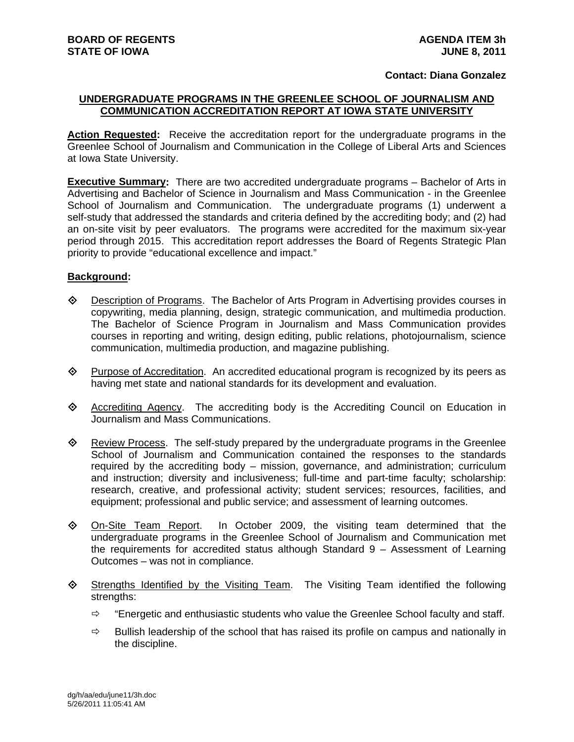## **Contact: Diana Gonzalez**

## **UNDERGRADUATE PROGRAMS IN THE GREENLEE SCHOOL OF JOURNALISM AND COMMUNICATION ACCREDITATION REPORT AT IOWA STATE UNIVERSITY**

**Action Requested:** Receive the accreditation report for the undergraduate programs in the Greenlee School of Journalism and Communication in the College of Liberal Arts and Sciences at Iowa State University.

**Executive Summary:** There are two accredited undergraduate programs – Bachelor of Arts in Advertising and Bachelor of Science in Journalism and Mass Communication - in the Greenlee School of Journalism and Communication. The undergraduate programs (1) underwent a self-study that addressed the standards and criteria defined by the accrediting body; and (2) had an on-site visit by peer evaluators. The programs were accredited for the maximum six-year period through 2015. This accreditation report addresses the Board of Regents Strategic Plan priority to provide "educational excellence and impact."

## **Background:**

- Description of Programs. The Bachelor of Arts Program in Advertising provides courses in copywriting, media planning, design, strategic communication, and multimedia production. The Bachelor of Science Program in Journalism and Mass Communication provides courses in reporting and writing, design editing, public relations, photojournalism, science communication, multimedia production, and magazine publishing.
- $\Diamond$  Purpose of Accreditation. An accredited educational program is recognized by its peers as having met state and national standards for its development and evaluation.
- Accrediting Agency. The accrediting body is the Accrediting Council on Education in Journalism and Mass Communications.
- ♦ Review Process. The self-study prepared by the undergraduate programs in the Greenlee School of Journalism and Communication contained the responses to the standards required by the accrediting body – mission, governance, and administration; curriculum and instruction; diversity and inclusiveness; full-time and part-time faculty; scholarship: research, creative, and professional activity; student services; resources, facilities, and equipment; professional and public service; and assessment of learning outcomes.
- On-Site Team Report. In October 2009, the visiting team determined that the undergraduate programs in the Greenlee School of Journalism and Communication met the requirements for accredited status although Standard 9 – Assessment of Learning Outcomes – was not in compliance.
- $\diamond$  Strengths Identified by the Visiting Team. The Visiting Team identified the following strengths:
	- $\Rightarrow$  "Energetic and enthusiastic students who value the Greenlee School faculty and staff.
	- $\Rightarrow$  Bullish leadership of the school that has raised its profile on campus and nationally in the discipline.